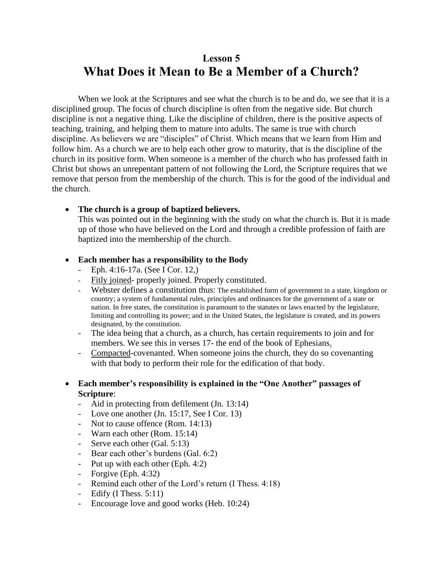# **Lesson 5 What Does it Mean to Be a Member of a Church?**

When we look at the Scriptures and see what the church is to be and do, we see that it is a disciplined group. The focus of church discipline is often from the negative side. But church discipline is not a negative thing. Like the discipline of children, there is the positive aspects of teaching, training, and helping them to mature into adults. The same is true with church discipline. As believers we are "disciples" of Christ. Which means that we learn from Him and follow him. As a church we are to help each other grow to maturity, that is the discipline of the church in its positive form. When someone is a member of the church who has professed faith in Christ but shows an unrepentant pattern of not following the Lord, the Scripture requires that we remove that person from the membership of the church. This is for the good of the individual and the church.

## • **The church is a group of baptized believers.**

This was pointed out in the beginning with the study on what the church is. But it is made up of those who have believed on the Lord and through a credible profession of faith are baptized into the membership of the church.

## • **Each member has a responsibility to the Body**

- Eph. 4:16-17a. (See I Cor. 12,)
- Fitly joined- properly joined. Properly constituted.
- Webster defines a constitution thus: The established form of government in a state, kingdom or country; a system of fundamental rules, principles and ordinances for the government of a state or nation. In free states, the constitution is paramount to the statutes or laws enacted by the legislature, limiting and controlling its power; and in the United States, the legislature is created, and its powers designated, by the constitution.
- The idea being that a church, as a church, has certain requirements to join and for members. We see this in verses 17- the end of the book of Ephesians.
- Compacted-covenanted. When someone joins the church, they do so covenanting with that body to perform their role for the edification of that body.

## • **Each member's responsibility is explained in the "One Another" passages of Scripture**:

- Aid in protecting from defilement (Jn. 13:14)
- Love one another (Jn. 15:17, See I Cor. 13)
- Not to cause offence (Rom. 14:13)
- Warn each other (Rom. 15:14)
- Serve each other (Gal. 5:13)
- Bear each other's burdens (Gal. 6:2)
- Put up with each other (Eph. 4:2)
- Forgive (Eph. 4:32)
- Remind each other of the Lord's return (I Thess. 4:18)
- Edify  $(I$  Thess. 5:11)
- Encourage love and good works (Heb. 10:24)